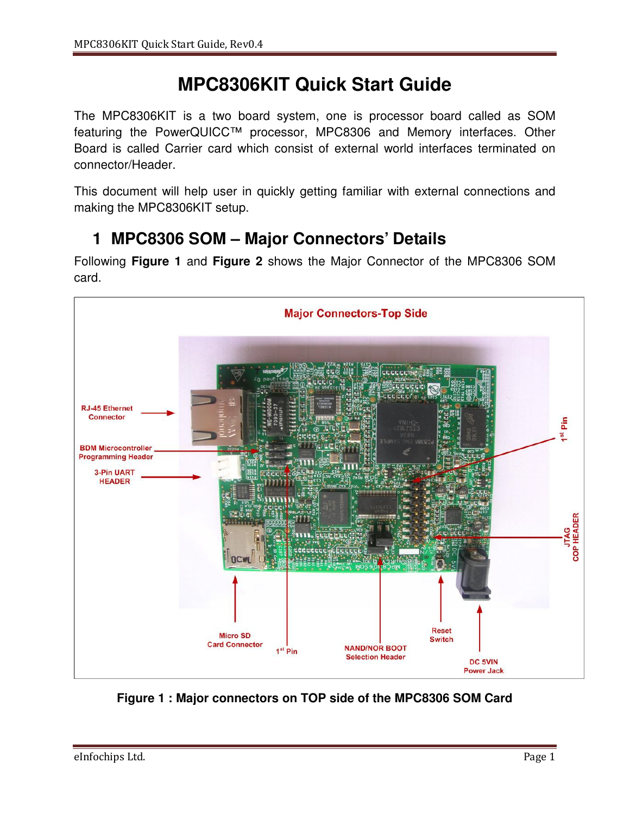# **MPC8306KIT Quick Start Guide**

The MPC8306KIT is a two board system, one is processor board called as SOM featuring the PowerQUICC™ processor, MPC8306 and Memory interfaces. Other Board is called Carrier card which consist of external world interfaces terminated on connector/Header.

This document will help user in quickly getting familiar with external connections and making the MPC8306KIT setup.

### **1 MPC8306 SOM – Major Connectors' Details**

Following **Figure 1** and **Figure 2** shows the Major Connector of the MPC8306 SOM card.



**Figure 1 : Major connectors on TOP side of the MPC8306 SOM Card**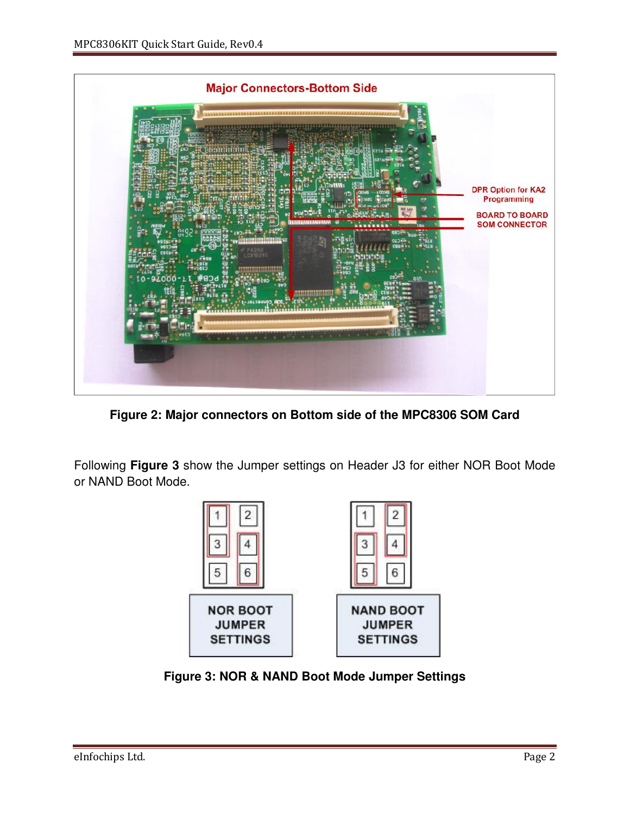

**Figure 2: Major connectors on Bottom side of the MPC8306 SOM Card** 

Following **Figure 3** show the Jumper settings on Header J3 for either NOR Boot Mode or NAND Boot Mode.



**Figure 3: NOR & NAND Boot Mode Jumper Settings**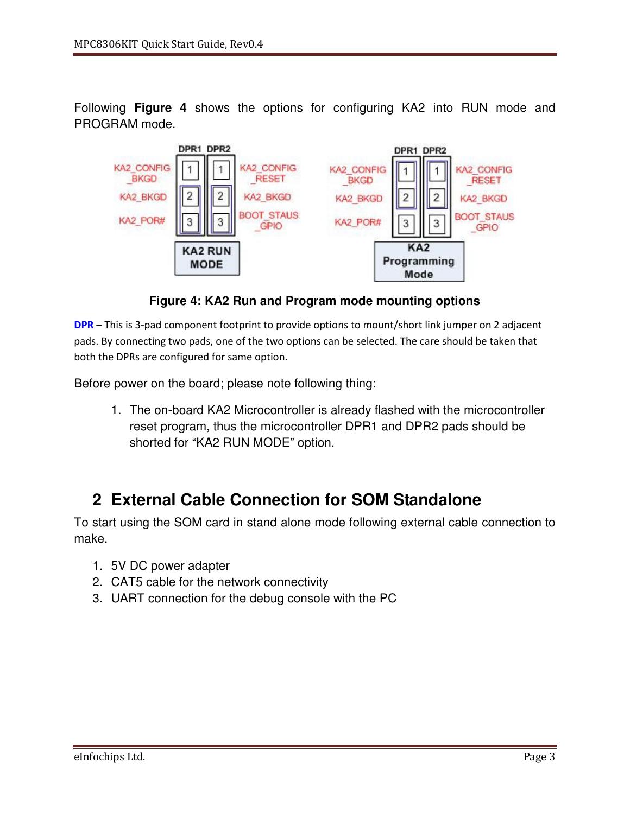Following **Figure 4** shows the options for configuring KA2 into RUN mode and PROGRAM mode.



**Figure 4: KA2 Run and Program mode mounting options**

**DPR** – This is 3-pad component footprint to provide options to mount/short link jumper on 2 adjacent pads. By connecting two pads, one of the two options can be selected. The care should be taken that both the DPRs are configured for same option.

Before power on the board; please note following thing:

1. The on-board KA2 Microcontroller is already flashed with the microcontroller reset program, thus the microcontroller DPR1 and DPR2 pads should be shorted for "KA2 RUN MODE" option.

# **2 External Cable Connection for SOM Standalone**

To start using the SOM card in stand alone mode following external cable connection to make.

- 1. 5V DC power adapter
- 2. CAT5 cable for the network connectivity
- 3. UART connection for the debug console with the PC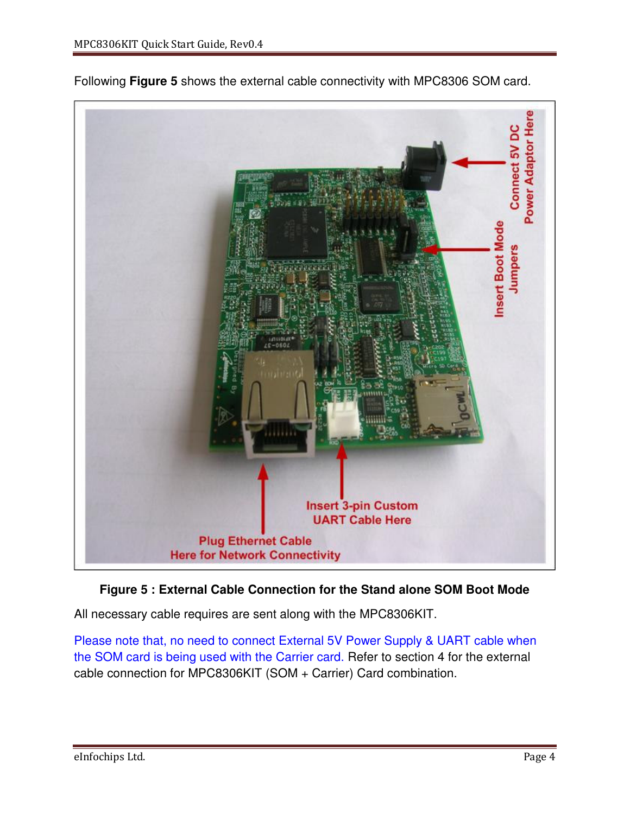

Following **Figure 5** shows the external cable connectivity with MPC8306 SOM card.

#### **Figure 5 : External Cable Connection for the Stand alone SOM Boot Mode**

All necessary cable requires are sent along with the MPC8306KIT.

Please note that, no need to connect External 5V Power Supply & UART cable when the SOM card is being used with the Carrier card. Refer to section 4 for the external cable connection for MPC8306KIT (SOM + Carrier) Card combination.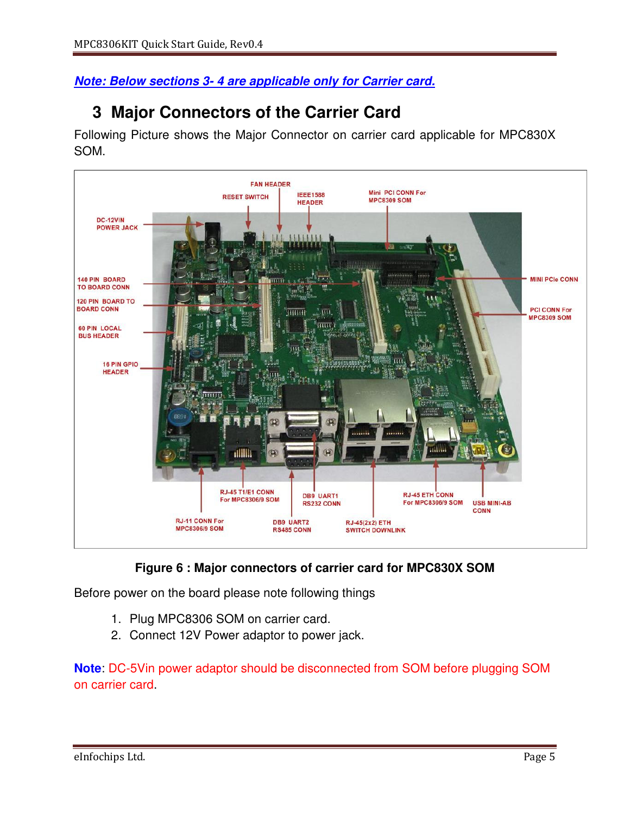**Note: Below sections 3- 4 are applicable only for Carrier card.**

### **3 Major Connectors of the Carrier Card**

Following Picture shows the Major Connector on carrier card applicable for MPC830X SOM.





Before power on the board please note following things

- 1. Plug MPC8306 SOM on carrier card.
- 2. Connect 12V Power adaptor to power jack.

**Note**: DC-5Vin power adaptor should be disconnected from SOM before plugging SOM on carrier card.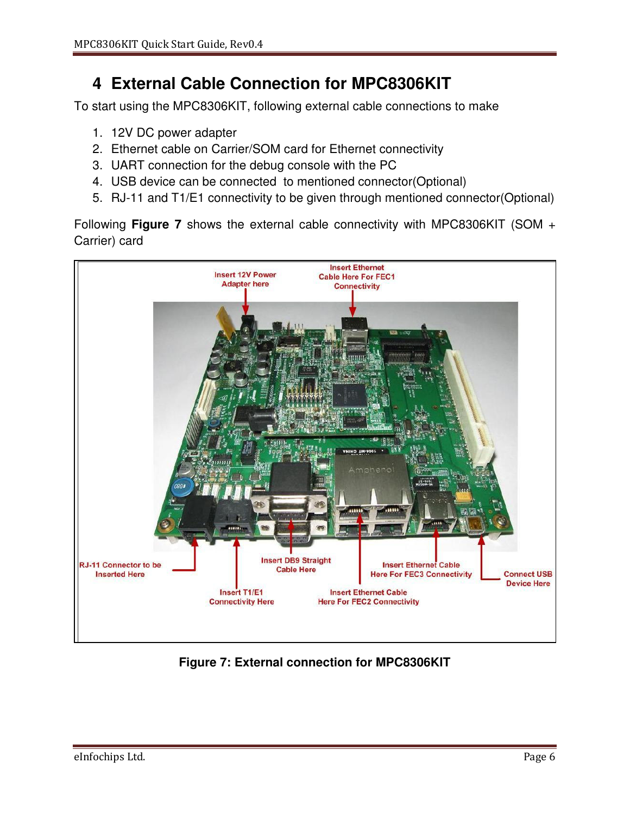# **4 External Cable Connection for MPC8306KIT**

To start using the MPC8306KIT, following external cable connections to make

- 1. 12V DC power adapter
- 2. Ethernet cable on Carrier/SOM card for Ethernet connectivity
- 3. UART connection for the debug console with the PC
- 4. USB device can be connected to mentioned connector(Optional)
- 5. RJ-11 and T1/E1 connectivity to be given through mentioned connector(Optional)

Following **Figure 7** shows the external cable connectivity with MPC8306KIT (SOM + Carrier) card



**Figure 7: External connection for MPC8306KIT**